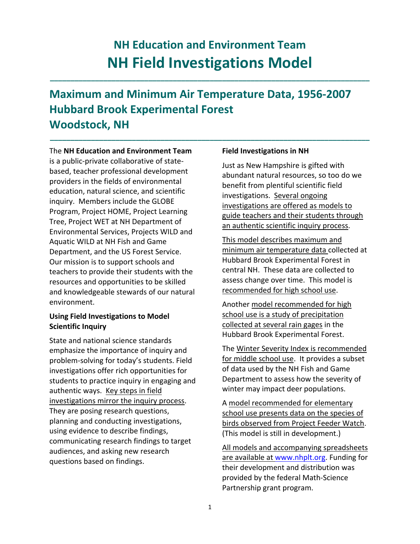# **NH Education and Environment Team NH Field Investigations Model**

**\_\_\_\_\_\_\_\_\_\_\_\_\_\_\_\_\_\_\_\_\_\_\_\_\_\_\_\_\_\_\_\_\_\_\_\_\_\_\_\_\_\_\_\_\_\_\_\_\_\_\_\_\_\_\_\_\_\_\_\_\_\_\_\_\_\_\_\_\_\_\_\_\_\_\_\_\_\_**

**\_\_\_\_\_\_\_\_\_\_\_\_\_\_\_\_\_\_\_\_\_\_\_\_\_\_\_\_\_\_\_\_\_\_\_\_\_\_\_\_\_\_\_\_\_\_\_\_\_\_\_\_\_\_\_\_\_\_\_\_\_\_\_\_\_\_\_\_\_\_\_\_\_\_\_\_\_\_**

## **Maximum and Minimum Air Temperature Data, 1956‐2007 Hubbard Brook Experimental Forest Woodstock, NH**

The **NH Education and Environment Team** is a public‐private collaborative of state‐ based, teacher professional development providers in the fields of environmental education, natural science, and scientific inquiry. Members include the GLOBE Program, Project HOME, Project Learning Tree, Project WET at NH Department of Environmental Services, Projects WILD and Aquatic WILD at NH Fish and Game Department, and the US Forest Service. Our mission is to support schools and teachers to provide their students with the resources and opportunities to be skilled and knowledgeable stewards of our natural environment.

#### **Using Field Investigations to Model Scientific Inquiry**

State and national science standards emphasize the importance of inquiry and problem‐solving for today's students. Field investigations offer rich opportunities for students to practice inquiry in engaging and authentic ways. Key steps in field investigations mirror the inquiry process. They are posing research questions, planning and conducting investigations, using evidence to describe findings, communicating research findings to target audiences, and asking new research questions based on findings.

#### **Field Investigations in NH**

Just as New Hampshire is gifted with abundant natural resources, so too do we benefit from plentiful scientific field investigations. Several ongoing investigations are offered as models to guide teachers and their students through an authentic scientific inquiry process.

This model describes maximum and minimum air temperature data collected at Hubbard Brook Experimental Forest in central NH. These data are collected to assess change over time. This model is recommended for high school use.

Another model recommended for high school use is a study of precipitation collected at several rain gages in the Hubbard Brook Experimental Forest.

The Winter Severity Index is recommended for middle school use. It provides a subset of data used by the NH Fish and Game Department to assess how the severity of winter may impact deer populations.

A model recommended for elementary school use presents data on the species of birds observed from Project Feeder Watch. (This model is still in development.)

All models and accompanying spreadsheets are available at www.nhplt.org. Funding for their development and distribution was provided by the federal Math‐Science Partnership grant program.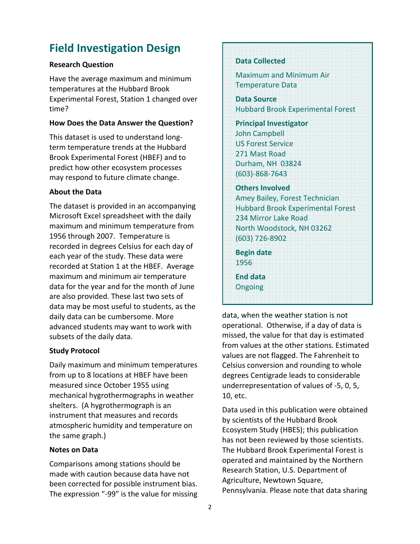### **Field Investigation Design**

#### **Research Question**

Have the average maximum and minimum temperatures at the Hubbard Brook Experimental Forest, Station 1 changed over time?

#### **How Does the Data Answer the Question?**

This dataset is used to understand long‐ term temperature trends at the Hubbard Brook Experimental Forest (HBEF) and to predict how other ecosystem processes may respond to future climate change.

#### **About the Data**

The dataset is provided in an accompanying Microsoft Excel spreadsheet with the daily maximum and minimum temperature from 1956 through 2007. Temperature is recorded in degrees Celsius for each day of each year of the study. These data were recorded at Station 1 at the HBEF. Average maximum and minimum air temperature data for the year and for the month of June are also provided. These last two sets of data may be most useful to students, as the daily data can be cumbersome. More advanced students may want to work with subsets of the daily data.

#### **Study Protocol**

Daily maximum and minimum temperatures from up to 8 locations at HBEF have been measured since October 1955 using mechanical hygrothermographs in weather shelters. (A hygrothermograph is an instrument that measures and records atmospheric humidity and temperature on the same graph.)

#### **Notes on Data**

Comparisons among stations should be made with caution because data have not been corrected for possible instrument bias. The expression "‐99" is the value for missing

#### **Data Collected**

Maximum and Minimum Air Temperature Data

**Data Source** Hubbard Brook Experimental Forest

**Principal Investigator** John Campbell US Forest Service 271 Mast Road Durham, NH 03824 (603)‐868‐7643

#### **Others Involved**

Amey Bailey, Forest Technician Hubbard Brook Experimental Forest 234 Mirror Lake Road North Woodstock, NH 03262 (603) 726‐8902

**Begin date** 1956

**End data** Ongoing

data, when the weather station is not operational. Otherwise, if a day of data is missed, the value for that day is estimated from values at the other stations. Estimated values are not flagged. The Fahrenheit to Celsius conversion and rounding to whole degrees Centigrade leads to considerable underrepresentation of values of ‐5, 0, 5, 10, etc.

Data used in this publication were obtained by scientists of the Hubbard Brook Ecosystem Study (HBES); this publication has not been reviewed by those scientists. The Hubbard Brook Experimental Forest is operated and maintained by the Northern Research Station, U.S. Department of Agriculture, Newtown Square, Pennsylvania. Please note that data sharing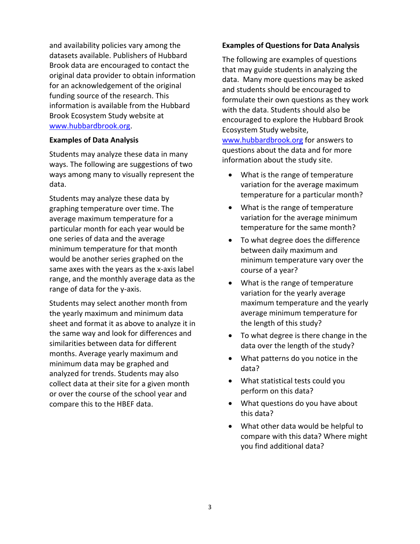and availability policies vary among the datasets available. Publishers of Hubbard Brook data are encouraged to contact the original data provider to obtain information for an acknowledgement of the original funding source of the research. This information is available from the Hubbard Brook Ecosystem Study website at www.hubbardbrook.org.

#### **Examples of Data Analysis**

Students may analyze these data in many ways. The following are suggestions of two ways among many to visually represent the data.

Students may analyze these data by graphing temperature over time. The average maximum temperature for a particular month for each year would be one series of data and the average minimum temperature for that month would be another series graphed on the same axes with the years as the x-axis label range, and the monthly average data as the range of data for the y-axis.

Students may select another month from the yearly maximum and minimum data sheet and format it as above to analyze it in the same way and look for differences and similarities between data for different months. Average yearly maximum and minimum data may be graphed and analyzed for trends. Students may also collect data at their site for a given month or over the course of the school year and compare this to the HBEF data.

#### **Examples of Questions for Data Analysis**

The following are examples of questions that may guide students in analyzing the data. Many more questions may be asked and students should be encouraged to formulate their own questions as they work with the data. Students should also be encouraged to explore the Hubbard Brook Ecosystem Study website,

www.hubbardbrook.org for answers to questions about the data and for more information about the study site.

- What is the range of temperature variation for the average maximum temperature for a particular month?
- What is the range of temperature variation for the average minimum temperature for the same month?
- To what degree does the difference between daily maximum and minimum temperature vary over the course of a year?
- What is the range of temperature variation for the yearly average maximum temperature and the yearly average minimum temperature for the length of this study?
- To what degree is there change in the data over the length of the study?
- What patterns do you notice in the data?
- What statistical tests could you perform on this data?
- What questions do you have about this data?
- What other data would be helpful to compare with this data? Where might you find additional data?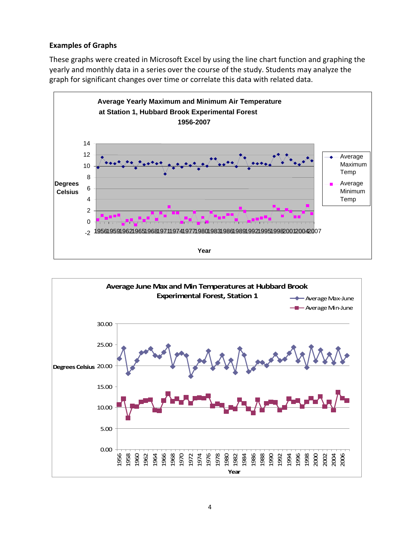#### **Examples of Graphs**

These graphs were created in Microsoft Excel by using the line chart function and graphing the yearly and monthly data in a series over the course of the study. Students may analyze the graph for significant changes over time or correlate this data with related data.